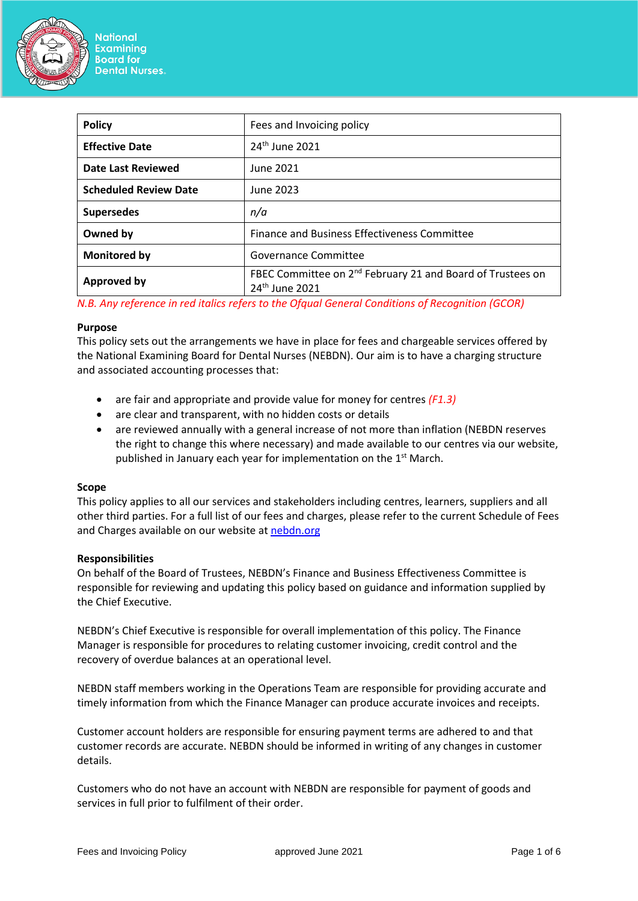

| <b>Policy</b>                | Fees and Invoicing policy                                                                            |
|------------------------------|------------------------------------------------------------------------------------------------------|
| <b>Effective Date</b>        | 24 <sup>th</sup> June 2021                                                                           |
| Date Last Reviewed           | June 2021                                                                                            |
| <b>Scheduled Review Date</b> | June 2023                                                                                            |
| <b>Supersedes</b>            | n/a                                                                                                  |
| Owned by                     | Finance and Business Effectiveness Committee                                                         |
| Monitored by                 | Governance Committee                                                                                 |
| <b>Approved by</b>           | FBEC Committee on 2 <sup>nd</sup> February 21 and Board of Trustees on<br>24 <sup>th</sup> June 2021 |

*N.B. Any reference in red italics refers to the Ofqual General Conditions of Recognition (GCOR)*

### **Purpose**

This policy sets out the arrangements we have in place for fees and chargeable services offered by the National Examining Board for Dental Nurses (NEBDN). Our aim is to have a charging structure and associated accounting processes that:

- are fair and appropriate and provide value for money for centres *(F1.3)*
- are clear and transparent, with no hidden costs or details
- are reviewed annually with a general increase of not more than inflation (NEBDN reserves the right to change this where necessary) and made available to our centres via our website, published in January each year for implementation on the 1st March.

## **Scope**

This policy applies to all our services and stakeholders including centres, learners, suppliers and all other third parties. For a full list of our fees and charges, please refer to the current Schedule of Fees and Charges available on our website a[t nebdn.org](http://www.nebdn.org/)

#### **Responsibilities**

On behalf of the Board of Trustees, NEBDN's Finance and Business Effectiveness Committee is responsible for reviewing and updating this policy based on guidance and information supplied by the Chief Executive.

NEBDN's Chief Executive is responsible for overall implementation of this policy. The Finance Manager is responsible for procedures to relating customer invoicing, credit control and the recovery of overdue balances at an operational level.

NEBDN staff members working in the Operations Team are responsible for providing accurate and timely information from which the Finance Manager can produce accurate invoices and receipts.

Customer account holders are responsible for ensuring payment terms are adhered to and that customer records are accurate. NEBDN should be informed in writing of any changes in customer details.

Customers who do not have an account with NEBDN are responsible for payment of goods and services in full prior to fulfilment of their order.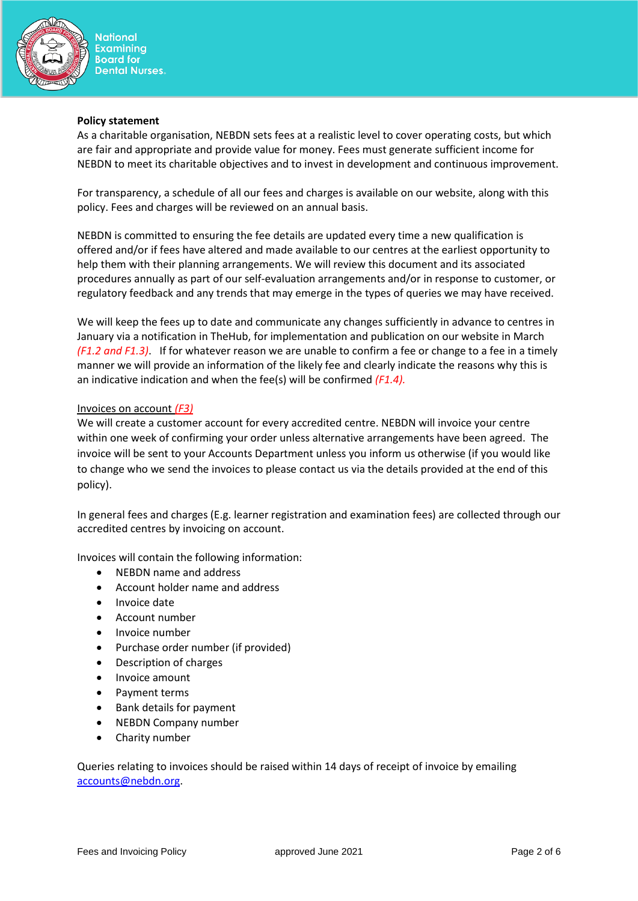

#### **Policy statement**

As a charitable organisation, NEBDN sets fees at a realistic level to cover operating costs, but which are fair and appropriate and provide value for money. Fees must generate sufficient income for NEBDN to meet its charitable objectives and to invest in development and continuous improvement.

For transparency, a schedule of all our fees and charges is available on our website, along with this policy. Fees and charges will be reviewed on an annual basis.

NEBDN is committed to ensuring the fee details are updated every time a new qualification is offered and/or if fees have altered and made available to our centres at the earliest opportunity to help them with their planning arrangements. We will review this document and its associated procedures annually as part of our self-evaluation arrangements and/or in response to customer, or regulatory feedback and any trends that may emerge in the types of queries we may have received.

We will keep the fees up to date and communicate any changes sufficiently in advance to centres in January via a notification in TheHub, for implementation and publication on our website in March *(F1.2 and F1.3)*. If for whatever reason we are unable to confirm a fee or change to a fee in a timely manner we will provide an information of the likely fee and clearly indicate the reasons why this is an indicative indication and when the fee(s) will be confirmed *(F1.4).*

## Invoices on account *(F3)*

We will create a customer account for every accredited centre. NEBDN will invoice your centre within one week of confirming your order unless alternative arrangements have been agreed. The invoice will be sent to your Accounts Department unless you inform us otherwise (if you would like to change who we send the invoices to please contact us via the details provided at the end of this policy).

In general fees and charges (E.g. learner registration and examination fees) are collected through our accredited centres by invoicing on account.

Invoices will contain the following information:

- NEBDN name and address
- Account holder name and address
- Invoice date
- Account number
- Invoice number
- Purchase order number (if provided)
- Description of charges
- Invoice amount
- Payment terms
- Bank details for payment
- NEBDN Company number
- Charity number

Queries relating to invoices should be raised within 14 days of receipt of invoice by emailing [accounts@nebdn.org.](mailto:accounts@nebdn.org)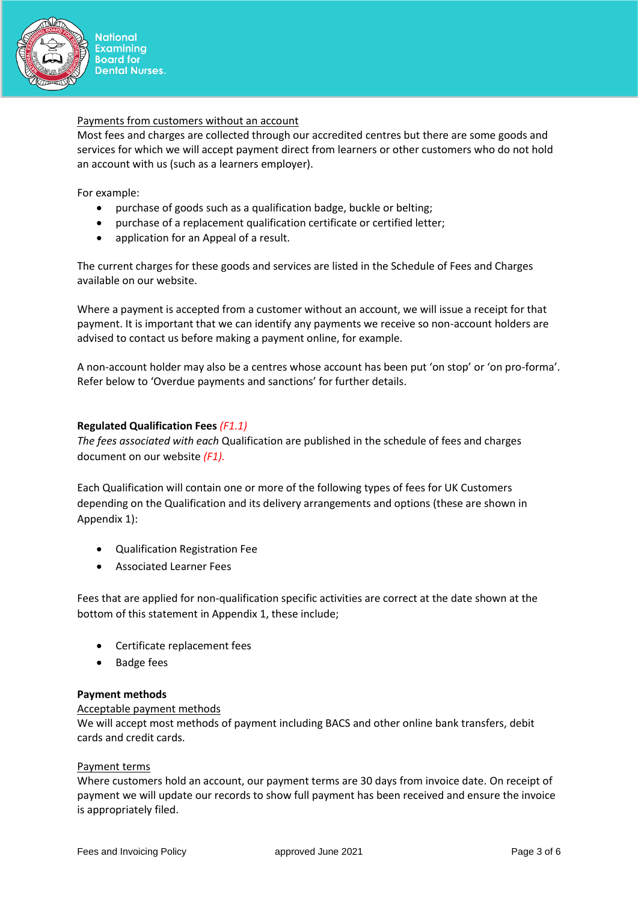

### Payments from customers without an account

Most fees and charges are collected through our accredited centres but there are some goods and services for which we will accept payment direct from learners or other customers who do not hold an account with us (such as a learners employer).

For example:

- purchase of goods such as a qualification badge, buckle or belting;
- purchase of a replacement qualification certificate or certified letter;
- application for an Appeal of a result.

The current charges for these goods and services are listed in the Schedule of Fees and Charges available on our website.

Where a payment is accepted from a customer without an account, we will issue a receipt for that payment. It is important that we can identify any payments we receive so non-account holders are advised to contact us before making a payment online, for example.

A non-account holder may also be a centres whose account has been put 'on stop' or 'on pro-forma'. Refer below to 'Overdue payments and sanctions' for further details.

## **Regulated Qualification Fees** *(F1.1)*

*The fees associated with each* Qualification are published in the schedule of fees and charges document on our website *(F1).*

Each Qualification will contain one or more of the following types of fees for UK Customers depending on the Qualification and its delivery arrangements and options (these are shown in Appendix 1):

- Qualification Registration Fee
- Associated Learner Fees

Fees that are applied for non-qualification specific activities are correct at the date shown at the bottom of this statement in Appendix 1, these include;

- Certificate replacement fees
- Badge fees

## **Payment methods**

#### Acceptable payment methods

We will accept most methods of payment including BACS and other online bank transfers, debit cards and credit cards.

## Payment terms

Where customers hold an account, our payment terms are 30 days from invoice date. On receipt of payment we will update our records to show full payment has been received and ensure the invoice is appropriately filed.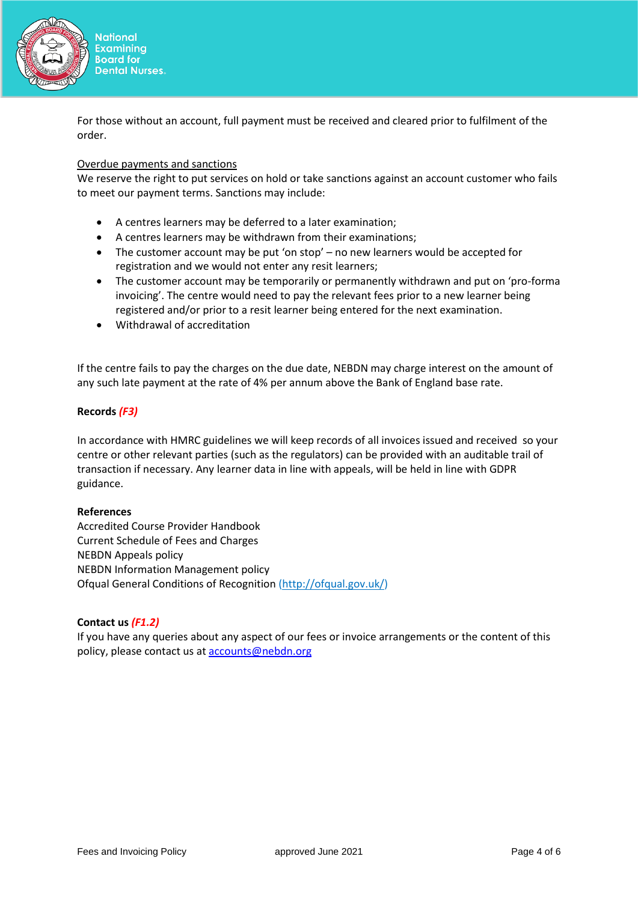

For those without an account, full payment must be received and cleared prior to fulfilment of the order.

# Overdue payments and sanctions

We reserve the right to put services on hold or take sanctions against an account customer who fails to meet our payment terms. Sanctions may include:

- A centres learners may be deferred to a later examination;
- A centres learners may be withdrawn from their examinations;
- The customer account may be put 'on stop' no new learners would be accepted for registration and we would not enter any resit learners;
- The customer account may be temporarily or permanently withdrawn and put on 'pro-forma invoicing'. The centre would need to pay the relevant fees prior to a new learner being registered and/or prior to a resit learner being entered for the next examination.
- Withdrawal of accreditation

If the centre fails to pay the charges on the due date, NEBDN may charge interest on the amount of any such late payment at the rate of 4% per annum above the Bank of England base rate.

## **Records** *(F3)*

In accordance with HMRC guidelines we will keep records of all invoices issued and received so your centre or other relevant parties (such as the regulators) can be provided with an auditable trail of transaction if necessary. Any learner data in line with appeals, will be held in line with GDPR guidance.

## **References**

Accredited Course Provider Handbook Current Schedule of Fees and Charges NEBDN Appeals policy NEBDN Information Management policy Ofqual General Conditions of Recognition [\(http://ofqual.gov.uk/\)](http://ofqual.gov.uk/)

## **Contact us** *(F1.2)*

If you have any queries about any aspect of our fees or invoice arrangements or the content of this policy, please contact us at [accounts@nebdn.org](mailto:accounts@nebdn.org)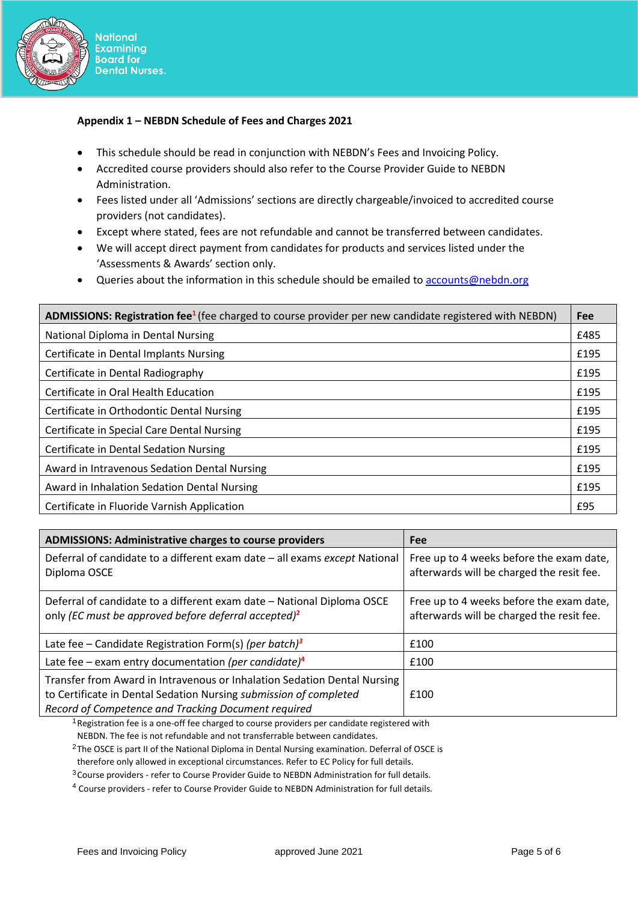

# **Appendix 1 – NEBDN Schedule of Fees and Charges 2021**

- This schedule should be read in conjunction with NEBDN's Fees and Invoicing Policy.
- Accredited course providers should also refer to the Course Provider Guide to NEBDN Administration.
- Fees listed under all 'Admissions' sections are directly chargeable/invoiced to accredited course providers (not candidates).
- Except where stated, fees are not refundable and cannot be transferred between candidates.
- We will accept direct payment from candidates for products and services listed under the 'Assessments & Awards' section only.
- Queries about the information in this schedule should be emailed to accounts@nebdn.org

| ADMISSIONS: Registration fee <sup>1</sup> (fee charged to course provider per new candidate registered with NEBDN) |      |
|--------------------------------------------------------------------------------------------------------------------|------|
| National Diploma in Dental Nursing                                                                                 | £485 |
| Certificate in Dental Implants Nursing                                                                             | £195 |
| Certificate in Dental Radiography                                                                                  | £195 |
| Certificate in Oral Health Education                                                                               | £195 |
| Certificate in Orthodontic Dental Nursing                                                                          | £195 |
| Certificate in Special Care Dental Nursing                                                                         | £195 |
| Certificate in Dental Sedation Nursing                                                                             | £195 |
| Award in Intravenous Sedation Dental Nursing                                                                       | £195 |
| Award in Inhalation Sedation Dental Nursing                                                                        | £195 |
| Certificate in Fluoride Varnish Application                                                                        | £95  |

| <b>ADMISSIONS: Administrative charges to course providers</b>                                                                                                                                        | Fee                                                                                   |  |
|------------------------------------------------------------------------------------------------------------------------------------------------------------------------------------------------------|---------------------------------------------------------------------------------------|--|
| Deferral of candidate to a different exam date - all exams except National<br>Diploma OSCE                                                                                                           | Free up to 4 weeks before the exam date,<br>afterwards will be charged the resit fee. |  |
| Deferral of candidate to a different exam date - National Diploma OSCE<br>only (EC must be approved before deferral accepted) <sup>2</sup>                                                           | Free up to 4 weeks before the exam date,<br>afterwards will be charged the resit fee. |  |
| Late fee – Candidate Registration Form(s) (per batch) <sup>3</sup>                                                                                                                                   | £100                                                                                  |  |
| Late fee – exam entry documentation (per candidate) <sup>4</sup>                                                                                                                                     | £100                                                                                  |  |
| Transfer from Award in Intravenous or Inhalation Sedation Dental Nursing<br>to Certificate in Dental Sedation Nursing submission of completed<br>Record of Competence and Tracking Document required | £100                                                                                  |  |

 $1$ Registration fee is a one-off fee charged to course providers per candidate registered with NEBDN. The fee is not refundable and not transferrable between candidates.

<sup>2</sup>The OSCE is part II of the National Diploma in Dental Nursing examination. Deferral of OSCE is

therefore only allowed in exceptional circumstances. Refer to EC Policy for full details.

<sup>3</sup> Course providers - refer to Course Provider Guide to NEBDN Administration for full details.

<sup>4</sup> Course providers - refer to Course Provider Guide to NEBDN Administration for full details.